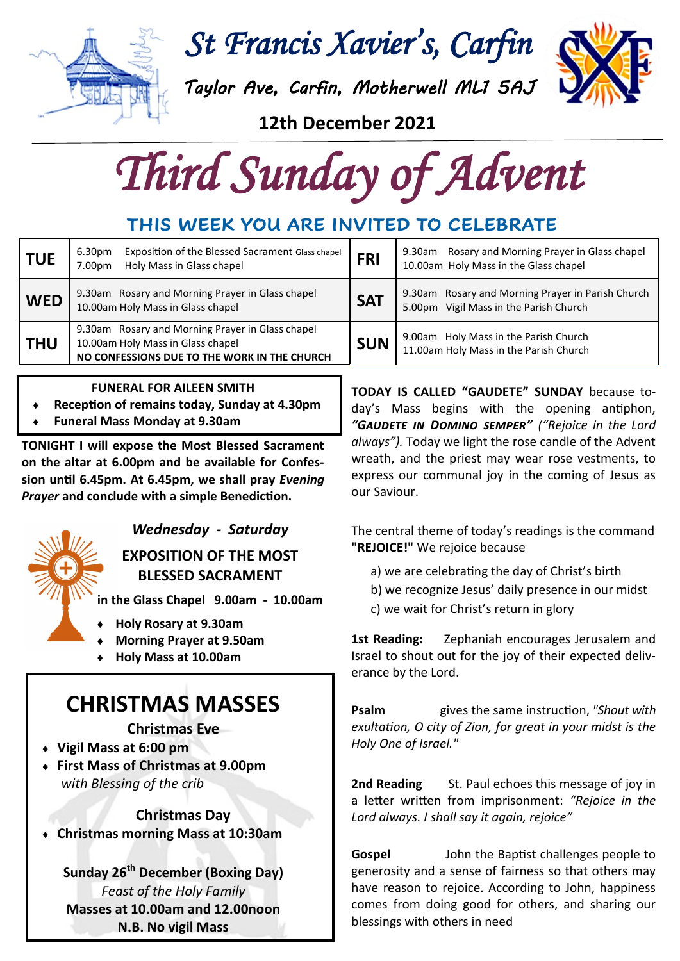

*St Francis Xavier's, Carfin* 

*Taylor Ave, Carfin, Motherwell ML1 5AJ* 



**12th December 2021** 

*Third Sunday of Advent* 

### **THIS WEEK YOU ARE INVITED TO CELEBRATE**

| <b>TUE</b> | Exposition of the Blessed Sacrament Glass chapel<br>6.30pm<br>Holy Mass in Glass chapel<br>7.00pm                                     | <b>FRI</b> | Rosary and Morning Prayer in Glass chapel<br>9.30am<br>10.00am Holy Mass in the Glass chapel |
|------------|---------------------------------------------------------------------------------------------------------------------------------------|------------|----------------------------------------------------------------------------------------------|
| <b>WED</b> | 9.30am Rosary and Morning Prayer in Glass chapel<br>10.00am Holy Mass in Glass chapel                                                 | <b>SAT</b> | 9.30am Rosary and Morning Prayer in Parish Church<br>5.00pm Vigil Mass in the Parish Church  |
| <b>THU</b> | 9.30am Rosary and Morning Prayer in Glass chapel<br>10.00am Holy Mass in Glass chapel<br>NO CONFESSIONS DUE TO THE WORK IN THE CHURCH | <b>SUN</b> | 9.00am Holy Mass in the Parish Church<br>11.00am Holy Mass in the Parish Church              |

#### **FUNERAL FOR AILEEN SMITH**

- **Reception of remains today, Sunday at 4.30pm**
- **Funeral Mass Monday at 9.30am**

**TONIGHT I will expose the Most Blessed Sacrament on the altar at 6.00pm and be available for Confession until 6.45pm. At 6.45pm, we shall pray** *Evening Prayer* **and conclude with a simple Benediction.**



### *Wednesday - Saturday*

**EXPOSITION OF THE MOST BLESSED SACRAMENT**

**in the Glass Chapel 9.00am - 10.00am**

- **Holy Rosary at 9.30am**
- **Morning Prayer at 9.50am**
- **Holy Mass at 10.00am**

## **CHRISTMAS MASSES**

**Christmas Eve**

- **Vigil Mass at 6:00 pm**
- **First Mass of Christmas at 9.00pm** *with Blessing of the crib*

#### **Christmas Day**

**Christmas morning Mass at 10:30am** 

**Sunday 26th December (Boxing Day)** *Feast of the Holy Family* **Masses at 10.00am and 12.00noon N.B. No vigil Mass**

**TODAY IS CALLED "GAUDETE" SUNDAY** because today's Mass begins with the opening antiphon, *"Gaudete in Domino semper" ("Rejoice in the Lord always").* Today we light the rose candle of the Advent wreath, and the priest may wear rose vestments, to express our communal joy in the coming of Jesus as our Saviour.

The central theme of today's readings is the command **"REJOICE!"** We rejoice because

- a) we are celebrating the day of Christ's birth
- b) we recognize Jesus' daily presence in our midst
- c) we wait for Christ's return in glory

**1st Reading:** Zephaniah encourages Jerusalem and Israel to shout out for the joy of their expected deliverance by the Lord.

**Psalm** gives the same instruction, *"Shout with exultation, O city of Zion, for great in your midst is the Holy One of Israel."* 

**2nd Reading** St. Paul echoes this message of joy in a letter written from imprisonment: *"Rejoice in the Lord always. I shall say it again, rejoice"*

**Gospel** John the Baptist challenges people to generosity and a sense of fairness so that others may have reason to rejoice. According to John, happiness comes from doing good for others, and sharing our blessings with others in need